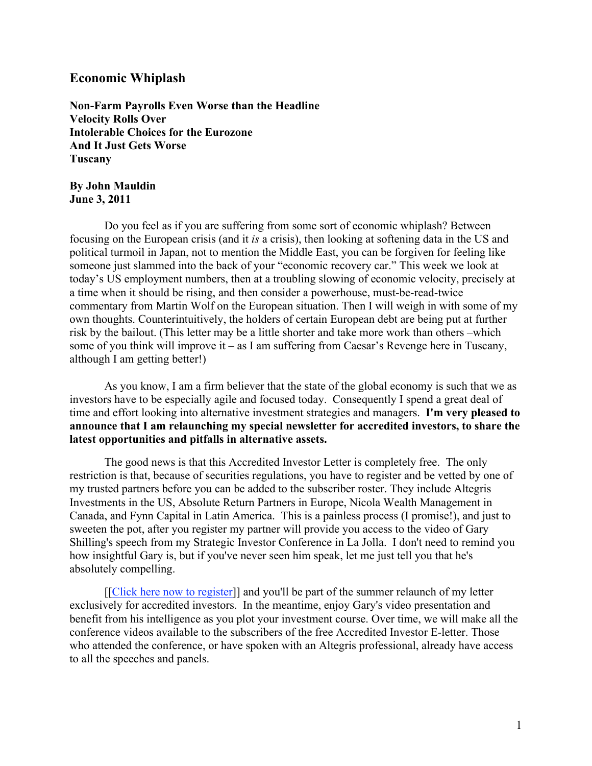# Economic Whiplash

Non-Farm Payrolls Even Worse than the Headline Velocity Rolls Over Intolerable Choices for the Eurozone And It Just Gets Worse Tuscany

### By John Mauldin June 3, 2011

Do you feel as if you are suffering from some sort of economic whiplash? Between focusing on the European crisis (and it *is* a crisis), then looking at softening data in the US and political turmoil in Japan, not to mention the Middle East, you can be forgiven for feeling like someone just slammed into the back of your "economic recovery car." This week we look at today's US employment numbers, then at a troubling slowing of economic velocity, precisely at a time when it should be rising, and then consider a powerhouse, must-be-read-twice commentary from Martin Wolf on the European situation. Then I will weigh in with some of my own thoughts. Counterintuitively, the holders of certain European debt are being put at further risk by the bailout. (This letter may be a little shorter and take more work than others –which some of you think will improve it – as I am suffering from Caesar's Revenge here in Tuscany, although I am getting better!)

As you know, I am a firm believer that the state of the global economy is such that we as investors have to be especially agile and focused today. Consequently I spend a great deal of time and effort looking into alternative investment strategies and managers. I'm very pleased to announce that I am relaunching my special newsletter for accredited investors, to share the latest opportunities and pitfalls in alternative assets.

The good news is that this Accredited Investor Letter is completely free. The only restriction is that, because of securities regulations, you have to register and be vetted by one of my trusted partners before you can be added to the subscriber roster. They include Altegris Investments in the US, Absolute Return Partners in Europe, Nicola Wealth Management in Canada, and Fynn Capital in Latin America. This is a painless process (I promise!), and just to sweeten the pot, after you register my partner will provide you access to the video of Gary Shilling's speech from my Strategic Investor Conference in La Jolla. I don't need to remind you how insightful Gary is, but if you've never seen him speak, let me just tell you that he's absolutely compelling.

[[Click here now to register]] and you'll be part of the summer relaunch of my letter exclusively for accredited investors. In the meantime, enjoy Gary's video presentation and benefit from his intelligence as you plot your investment course. Over time, we will make all the conference videos available to the subscribers of the free Accredited Investor E-letter. Those who attended the conference, or have spoken with an Altegris professional, already have access to all the speeches and panels.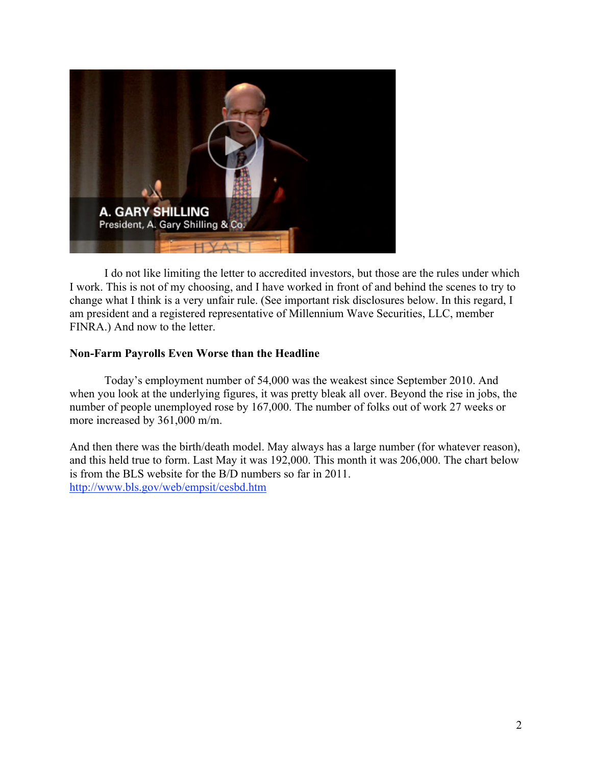

I do not like limiting the letter to accredited investors, but those are the rules under which I work. This is not of my choosing, and I have worked in front of and behind the scenes to try to change what I think is a very unfair rule. (See important risk disclosures below. In this regard, I am president and a registered representative of Millennium Wave Securities, LLC, member FINRA.) And now to the letter.

## Non-Farm Payrolls Even Worse than the Headline

Today's employment number of 54,000 was the weakest since September 2010. And when you look at the underlying figures, it was pretty bleak all over. Beyond the rise in jobs, the number of people unemployed rose by 167,000. The number of folks out of work 27 weeks or more increased by 361,000 m/m.

And then there was the birth/death model. May always has a large number (for whatever reason), and this held true to form. Last May it was 192,000. This month it was 206,000. The chart below is from the BLS website for the B/D numbers so far in 2011. http://www.bls.gov/web/empsit/cesbd.htm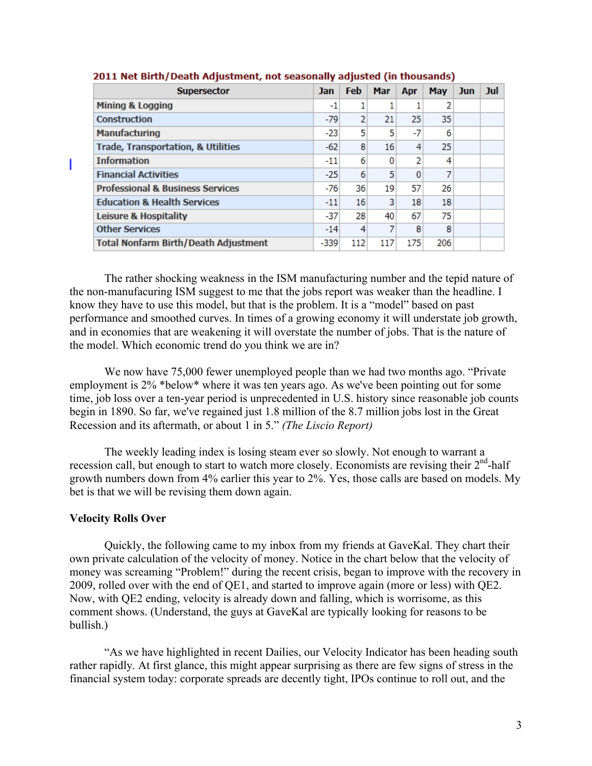| <b>Supersector</b>                            | Jan    | <b>Feb</b> | Mar | Apr | <b>May</b> | <b>Jun</b> | Jul |
|-----------------------------------------------|--------|------------|-----|-----|------------|------------|-----|
| Mining & Logging                              | -1     |            |     |     |            |            |     |
| <b>Construction</b>                           | $-79$  | 2          | 21  | 25  | 35         |            |     |
| <b>Manufacturing</b>                          | $-23$  | 5          | 5   | -7  | 6          |            |     |
| <b>Trade, Transportation, &amp; Utilities</b> | $-62$  | 8          | 16  | 4   | 25         |            |     |
| <b>Information</b>                            | $-11$  | 6          | 0   | 2   | 4          |            |     |
| <b>Financial Activities</b>                   | $-25$  | 6          | 5   | 0   |            |            |     |
| <b>Professional &amp; Business Services</b>   | $-76$  | 36         | 19  | 57  | 26         |            |     |
| <b>Education &amp; Health Services</b>        | $-11$  | 16         | 3   | 18  | 18         |            |     |
| Leisure & Hospitality                         | $-37$  | 28         | 40  | 67  | 75         |            |     |
| <b>Other Services</b>                         | $-14$  | 4          | 7   | 8   | 8          |            |     |
| <b>Total Nonfarm Birth/Death Adjustment</b>   | $-339$ | 112        | 117 | 175 | 206        |            |     |

### 2011 Net Birth/Death Adjustment, not seasonally adjusted (in thousands)

The rather shocking weakness in the ISM manufacturing number and the tepid nature of the non-manufacuring ISM suggest to me that the jobs report was weaker than the headline. I know they have to use this model, but that is the problem. It is a "model" based on past performance and smoothed curves. In times of a growing economy it will understate job growth, and in economies that are weakening it will overstate the number of jobs. That is the nature of the model. Which economic trend do you think we are in?

We now have  $75,000$  fewer unemployed people than we had two months ago. "Private" employment is 2% \*below\* where it was ten years ago. As we've been pointing out for some time, job loss over a ten-year period is unprecedented in U.S. history since reasonable job counts begin in 1890. So far, we've regained just 1.8 million of the 8.7 million jobs lost in the Great Recession and its aftermath, or about 1 in 5." *(The Liscio Report)*

The weekly leading index is losing steam ever so slowly. Not enough to warrant a recession call, but enough to start to watch more closely. Economists are revising their  $2<sup>nd</sup>$ -half growth numbers down from 4% earlier this year to 2%. Yes, those calls are based on models. My bet is that we will be revising them down again.

### Velocity Rolls Over

ı

Quickly, the following came to my inbox from my friends at GaveKal. They chart their own private calculation of the velocity of money. Notice in the chart below that the velocity of money was screaming "Problem!" during the recent crisis, began to improve with the recovery in 2009, rolled over with the end of QE1, and started to improve again (more or less) with QE2. Now, with QE2 ending, velocity is already down and falling, which is worrisome, as this comment shows. (Understand, the guys at GaveKal are typically looking for reasons to be bullish.)

"As we have highlighted in recent Dailies, our Velocity Indicator has been heading south rather rapidly. At first glance, this might appear surprising as there are few signs of stress in the financial system today: corporate spreads are decently tight, IPOs continue to roll out, and the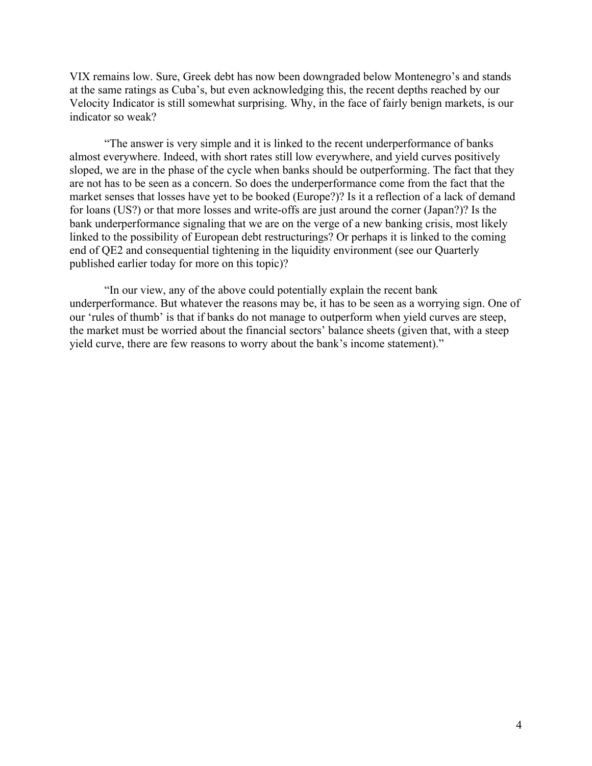VIX remains low. Sure, Greek debt has now been downgraded below Montenegro's and stands at the same ratings as Cuba's, but even acknowledging this, the recent depths reached by our Velocity Indicator is still somewhat surprising. Why, in the face of fairly benign markets, is our indicator so weak?

"The answer is very simple and it is linked to the recent underperformance of banks almost everywhere. Indeed, with short rates still low everywhere, and yield curves positively sloped, we are in the phase of the cycle when banks should be outperforming. The fact that they are not has to be seen as a concern. So does the underperformance come from the fact that the market senses that losses have yet to be booked (Europe?)? Is it a reflection of a lack of demand for loans (US?) or that more losses and write-offs are just around the corner (Japan?)? Is the bank underperformance signaling that we are on the verge of a new banking crisis, most likely linked to the possibility of European debt restructurings? Or perhaps it is linked to the coming end of QE2 and consequential tightening in the liquidity environment (see our Quarterly published earlier today for more on this topic)?

"In our view, any of the above could potentially explain the recent bank underperformance. But whatever the reasons may be, it has to be seen as a worrying sign. One of our 'rules of thumb' is that if banks do not manage to outperform when yield curves are steep, the market must be worried about the financial sectors' balance sheets (given that, with a steep yield curve, there are few reasons to worry about the bank's income statement)."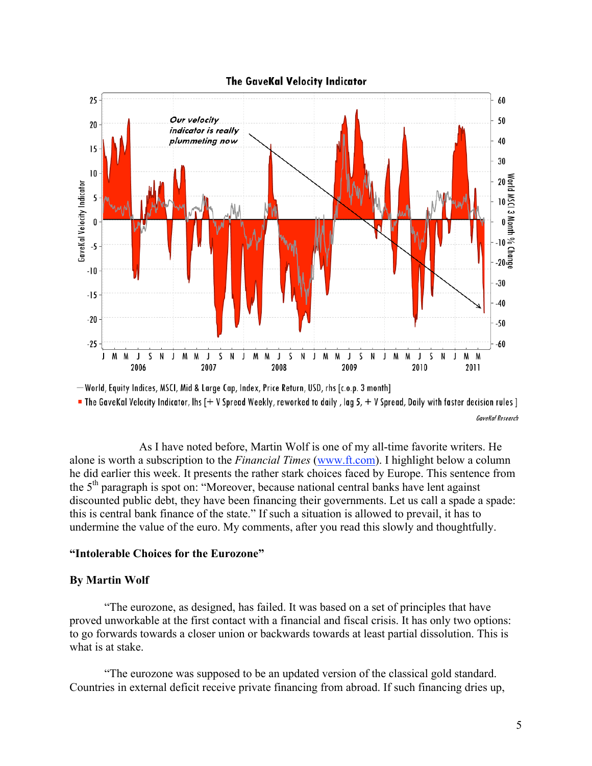

" The GaveKal Velocity Indicator, Ihs  $[+V$  Spread Weekly, reworked to daily, lag 5,  $+V$  Spread, Daily with faster decision rules ] GaveKal Research

As I have noted before, Martin Wolf is one of my all-time favorite writers. He alone is worth a subscription to the *Financial Times* (www.ft.com). I highlight below a column he did earlier this week. It presents the rather stark choices faced by Europe. This sentence from the  $5<sup>th</sup>$  paragraph is spot on: "Moreover, because national central banks have lent against discounted public debt, they have been financing their governments. Let us call a spade a spade: this is central bank finance of the state." If such a situation is allowed to prevail, it has to undermine the value of the euro. My comments, after you read this slowly and thoughtfully.

### "Intolerable Choices for the Eurozone"

### By Martin Wolf

"The eurozone, as designed, has failed. It was based on a set of principles that have proved unworkable at the first contact with a financial and fiscal crisis. It has only two options: to go forwards towards a closer union or backwards towards at least partial dissolution. This is what is at stake.

"The eurozone was supposed to be an updated version of the classical gold standard. Countries in external deficit receive private financing from abroad. If such financing dries up,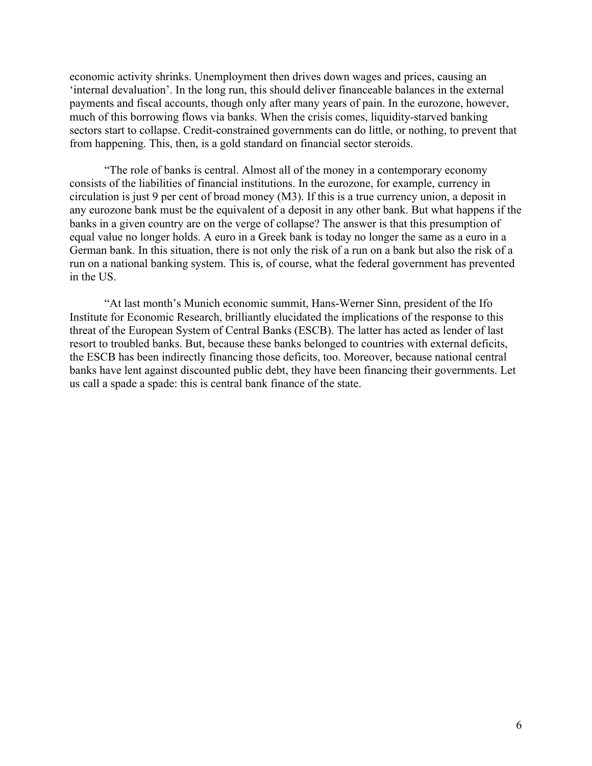economic activity shrinks. Unemployment then drives down wages and prices, causing an 'internal devaluation'. In the long run, this should deliver financeable balances in the external payments and fiscal accounts, though only after many years of pain. In the eurozone, however, much of this borrowing flows via banks. When the crisis comes, liquidity-starved banking sectors start to collapse. Credit-constrained governments can do little, or nothing, to prevent that from happening. This, then, is a gold standard on financial sector steroids.

"The role of banks is central. Almost all of the money in a contemporary economy consists of the liabilities of financial institutions. In the eurozone, for example, currency in circulation is just 9 per cent of broad money (M3). If this is a true currency union, a deposit in any eurozone bank must be the equivalent of a deposit in any other bank. But what happens if the banks in a given country are on the verge of collapse? The answer is that this presumption of equal value no longer holds. A euro in a Greek bank is today no longer the same as a euro in a German bank. In this situation, there is not only the risk of a run on a bank but also the risk of a run on a national banking system. This is, of course, what the federal government has prevented in the US.

"At last month's Munich economic summit, Hans-Werner Sinn, president of the Ifo Institute for Economic Research, brilliantly elucidated the implications of the response to this threat of the European System of Central Banks (ESCB). The latter has acted as lender of last resort to troubled banks. But, because these banks belonged to countries with external deficits, the ESCB has been indirectly financing those deficits, too. Moreover, because national central banks have lent against discounted public debt, they have been financing their governments. Let us call a spade a spade: this is central bank finance of the state.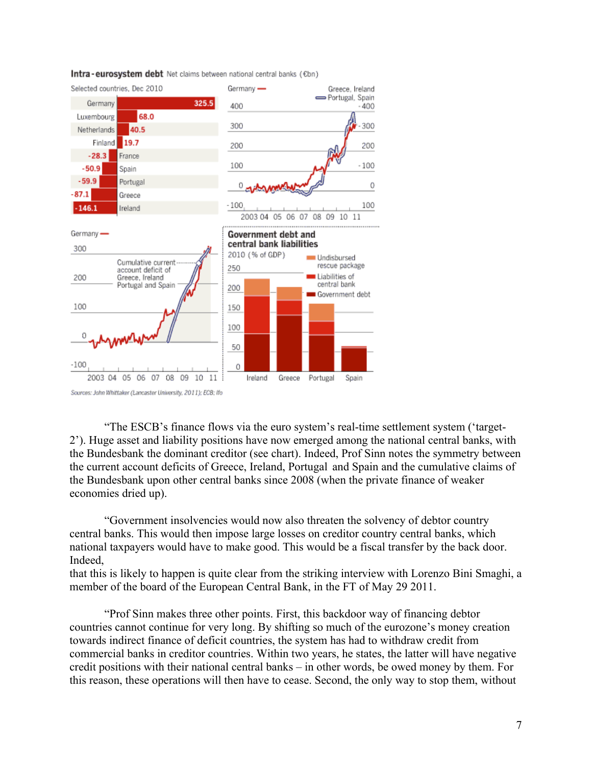

Intra-eurosystem debt Net claims between national central banks (€bn)

"The ESCB's finance flows via the euro system's real-time settlement system ('target-2'). Huge asset and liability positions have now emerged among the national central banks, with the Bundesbank the dominant creditor (see chart). Indeed, Prof Sinn notes the symmetry between the current account deficits of Greece, Ireland, Portugal and Spain and the cumulative claims of the Bundesbank upon other central banks since 2008 (when the private finance of weaker economies dried up).

"Government insolvencies would now also threaten the solvency of debtor country central banks. This would then impose large losses on creditor country central banks, which national taxpayers would have to make good. This would be a fiscal transfer by the back door. Indeed,

that this is likely to happen is quite clear from the striking interview with Lorenzo Bini Smaghi, a member of the board of the European Central Bank, in the FT of May 29 2011.

"Prof Sinn makes three other points. First, this backdoor way of financing debtor countries cannot continue for very long. By shifting so much of the eurozone's money creation towards indirect finance of deficit countries, the system has had to withdraw credit from commercial banks in creditor countries. Within two years, he states, the latter will have negative credit positions with their national central banks – in other words, be owed money by them. For this reason, these operations will then have to cease. Second, the only way to stop them, without

Sources: John Whittaker (Lancaster University, 2011); ECB; Ifo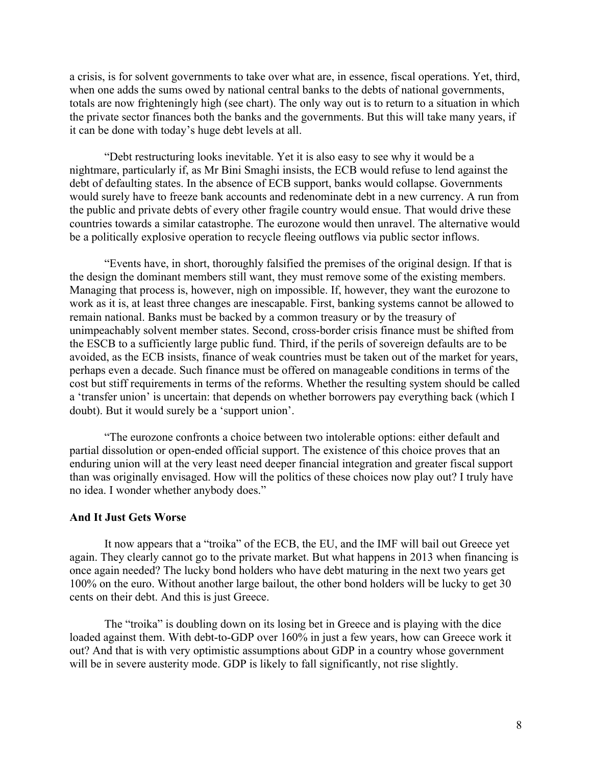a crisis, is for solvent governments to take over what are, in essence, fiscal operations. Yet, third, when one adds the sums owed by national central banks to the debts of national governments, totals are now frighteningly high (see chart). The only way out is to return to a situation in which the private sector finances both the banks and the governments. But this will take many years, if it can be done with today's huge debt levels at all.

"Debt restructuring looks inevitable. Yet it is also easy to see why it would be a nightmare, particularly if, as Mr Bini Smaghi insists, the ECB would refuse to lend against the debt of defaulting states. In the absence of ECB support, banks would collapse. Governments would surely have to freeze bank accounts and redenominate debt in a new currency. A run from the public and private debts of every other fragile country would ensue. That would drive these countries towards a similar catastrophe. The eurozone would then unravel. The alternative would be a politically explosive operation to recycle fleeing outflows via public sector inflows.

"Events have, in short, thoroughly falsified the premises of the original design. If that is the design the dominant members still want, they must remove some of the existing members. Managing that process is, however, nigh on impossible. If, however, they want the eurozone to work as it is, at least three changes are inescapable. First, banking systems cannot be allowed to remain national. Banks must be backed by a common treasury or by the treasury of unimpeachably solvent member states. Second, cross-border crisis finance must be shifted from the ESCB to a sufficiently large public fund. Third, if the perils of sovereign defaults are to be avoided, as the ECB insists, finance of weak countries must be taken out of the market for years, perhaps even a decade. Such finance must be offered on manageable conditions in terms of the cost but stiff requirements in terms of the reforms. Whether the resulting system should be called a 'transfer union' is uncertain: that depends on whether borrowers pay everything back (which I doubt). But it would surely be a 'support union'.

"The eurozone confronts a choice between two intolerable options: either default and partial dissolution or open-ended official support. The existence of this choice proves that an enduring union will at the very least need deeper financial integration and greater fiscal support than was originally envisaged. How will the politics of these choices now play out? I truly have no idea. I wonder whether anybody does."

#### And It Just Gets Worse

It now appears that a "troika" of the ECB, the EU, and the IMF will bail out Greece yet again. They clearly cannot go to the private market. But what happens in 2013 when financing is once again needed? The lucky bond holders who have debt maturing in the next two years get 100% on the euro. Without another large bailout, the other bond holders will be lucky to get 30 cents on their debt. And this is just Greece.

The "troika" is doubling down on its losing bet in Greece and is playing with the dice loaded against them. With debt-to-GDP over 160% in just a few years, how can Greece work it out? And that is with very optimistic assumptions about GDP in a country whose government will be in severe austerity mode. GDP is likely to fall significantly, not rise slightly.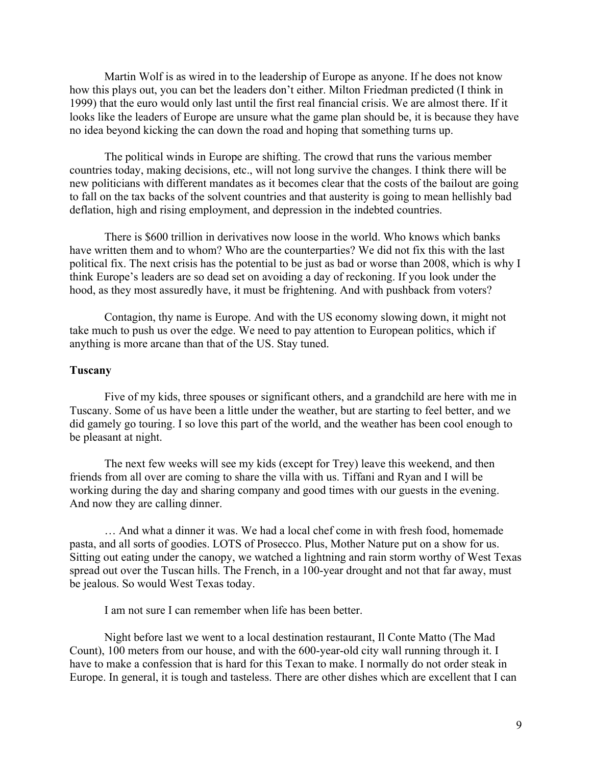Martin Wolf is as wired in to the leadership of Europe as anyone. If he does not know how this plays out, you can bet the leaders don't either. Milton Friedman predicted (I think in 1999) that the euro would only last until the first real financial crisis. We are almost there. If it looks like the leaders of Europe are unsure what the game plan should be, it is because they have no idea beyond kicking the can down the road and hoping that something turns up.

The political winds in Europe are shifting. The crowd that runs the various member countries today, making decisions, etc., will not long survive the changes. I think there will be new politicians with different mandates as it becomes clear that the costs of the bailout are going to fall on the tax backs of the solvent countries and that austerity is going to mean hellishly bad deflation, high and rising employment, and depression in the indebted countries.

There is \$600 trillion in derivatives now loose in the world. Who knows which banks have written them and to whom? Who are the counterparties? We did not fix this with the last political fix. The next crisis has the potential to be just as bad or worse than 2008, which is why I think Europe's leaders are so dead set on avoiding a day of reckoning. If you look under the hood, as they most assuredly have, it must be frightening. And with pushback from voters?

Contagion, thy name is Europe. And with the US economy slowing down, it might not take much to push us over the edge. We need to pay attention to European politics, which if anything is more arcane than that of the US. Stay tuned.

### Tuscany

Five of my kids, three spouses or significant others, and a grandchild are here with me in Tuscany. Some of us have been a little under the weather, but are starting to feel better, and we did gamely go touring. I so love this part of the world, and the weather has been cool enough to be pleasant at night.

The next few weeks will see my kids (except for Trey) leave this weekend, and then friends from all over are coming to share the villa with us. Tiffani and Ryan and I will be working during the day and sharing company and good times with our guests in the evening. And now they are calling dinner.

… And what a dinner it was. We had a local chef come in with fresh food, homemade pasta, and all sorts of goodies. LOTS of Prosecco. Plus, Mother Nature put on a show for us. Sitting out eating under the canopy, we watched a lightning and rain storm worthy of West Texas spread out over the Tuscan hills. The French, in a 100-year drought and not that far away, must be jealous. So would West Texas today.

I am not sure I can remember when life has been better.

Night before last we went to a local destination restaurant, Il Conte Matto (The Mad Count), 100 meters from our house, and with the 600-year-old city wall running through it. I have to make a confession that is hard for this Texan to make. I normally do not order steak in Europe. In general, it is tough and tasteless. There are other dishes which are excellent that I can